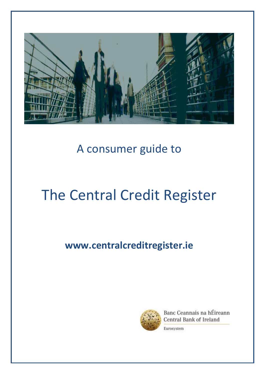

# A consumer guide to

# The Central Credit Register

# **www.centralcreditregister.ie**



Banc Ceannais na hÉireann Central Bank of Ireland Eurosystem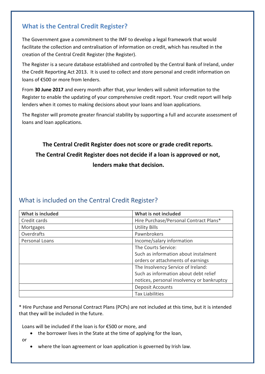#### **What is the Central Credit Register?**

The Government gave a commitment to the IMF to develop a legal framework that would facilitate the collection and centralisation of information on credit, which has resulted in the creation of the Central Credit Register (the Register).

The Register is a secure database established and controlled by the Central Bank of Ireland, under the Credit Reporting Act 2013. It is used to collect and store personal and credit information on loans of  $£500$  or more from lenders.

From **30 June 2017** and every month after that, your lenders will submit information to the Register to enable the updating of your comprehensive credit report. Your credit report will help lenders when it comes to making decisions about your loans and loan applications.

The Register will promote greater financial stability by supporting a full and accurate assessment of loans and loan applications.

## **The Central Credit Register does not score or grade credit reports. The Central Credit Register does not decide if a loan is approved or not, lenders make that decision.**

#### What is included on the Central Credit Register?

| <b>What is included</b> | What is not included                       |
|-------------------------|--------------------------------------------|
| Credit cards            | Hire Purchase/Personal Contract Plans*     |
| <b>Mortgages</b>        | <b>Utility Bills</b>                       |
| Overdrafts              | Pawnbrokers                                |
| Personal Loans          | Income/salary information                  |
|                         | The Courts Service:                        |
|                         | Such as information about instalment       |
|                         | orders or attachments of earnings          |
|                         | The Insolvency Service of Ireland:         |
|                         | Such as information about debt relief      |
|                         | notices, personal insolvency or bankruptcy |
|                         | <b>Deposit Accounts</b>                    |
|                         | <b>Tax Liabilities</b>                     |

\* Hire Purchase and Personal Contract Plans (PCPs) are not included at this time, but it is intended that they will be included in the future.

Loans will be included if the loan is for  $£500$  or more, and

- the borrower lives in the State at the time of applying for the loan,
- or
- where the loan agreement or loan application is governed by Irish law.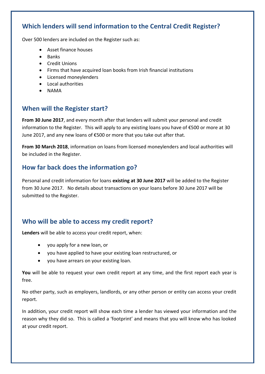#### **Which lenders will send information to the Central Credit Register?**

Over 500 lenders are included on the Register such as:

- Asset finance houses
- $\bullet$  Banks
- **•** Credit Unions
- Firms that have acquired loan books from Irish financial institutions
- Licensed moneylenders
- Local authorities
- NAMA

#### **When will the Register start?**

**From 30 June 2017**, and every month after that lenders will submit your personal and credit information to the Register. This will apply to any existing loans you have of  $\epsilon$ 500 or more at 30 June 2017, and any new loans of €500 or more that you take out after that.

**From 30 March 2018**, information on loans from licensed moneylenders and local authorities will be included in the Register.

#### **How far back does the information go?**

Personal and credit information for loans **existing at 30 June 2017** will be added to the Register from 30 June 2017. No details about transactions on your loans before 30 June 2017 will be submitted to the Register.

#### **Who will be able to access my credit report?**

**Lenders** will be able to access your credit report, when:

- you apply for a new loan, or
- you have applied to have your existing loan restructured, or
- you have arrears on your existing loan.

**You** will be able to request your own credit report at any time, and the first report each year is free.

No other party, such as employers, landlords, or any other person or entity can access your credit report.

In addition, your credit report will show each time a lender has viewed your information and the reason why they did so. This is called a 'footprint' and means that you will know who has looked at your credit report.